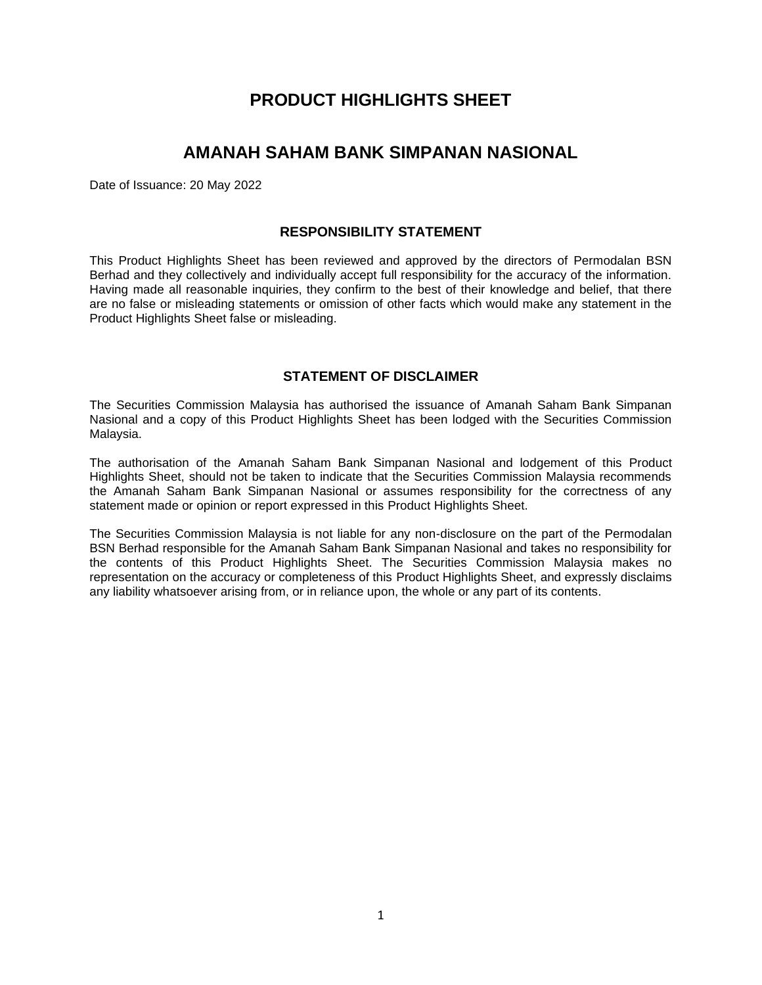# **PRODUCT HIGHLIGHTS SHEET**

# **AMANAH SAHAM BANK SIMPANAN NASIONAL**

Date of Issuance: 20 May 2022

# **RESPONSIBILITY STATEMENT**

This Product Highlights Sheet has been reviewed and approved by the directors of Permodalan BSN Berhad and they collectively and individually accept full responsibility for the accuracy of the information. Having made all reasonable inquiries, they confirm to the best of their knowledge and belief, that there are no false or misleading statements or omission of other facts which would make any statement in the Product Highlights Sheet false or misleading.

# **STATEMENT OF DISCLAIMER**

The Securities Commission Malaysia has authorised the issuance of Amanah Saham Bank Simpanan Nasional and a copy of this Product Highlights Sheet has been lodged with the Securities Commission Malaysia.

The authorisation of the Amanah Saham Bank Simpanan Nasional and lodgement of this Product Highlights Sheet, should not be taken to indicate that the Securities Commission Malaysia recommends the Amanah Saham Bank Simpanan Nasional or assumes responsibility for the correctness of any statement made or opinion or report expressed in this Product Highlights Sheet.

The Securities Commission Malaysia is not liable for any non-disclosure on the part of the Permodalan BSN Berhad responsible for the Amanah Saham Bank Simpanan Nasional and takes no responsibility for the contents of this Product Highlights Sheet. The Securities Commission Malaysia makes no representation on the accuracy or completeness of this Product Highlights Sheet, and expressly disclaims any liability whatsoever arising from, or in reliance upon, the whole or any part of its contents.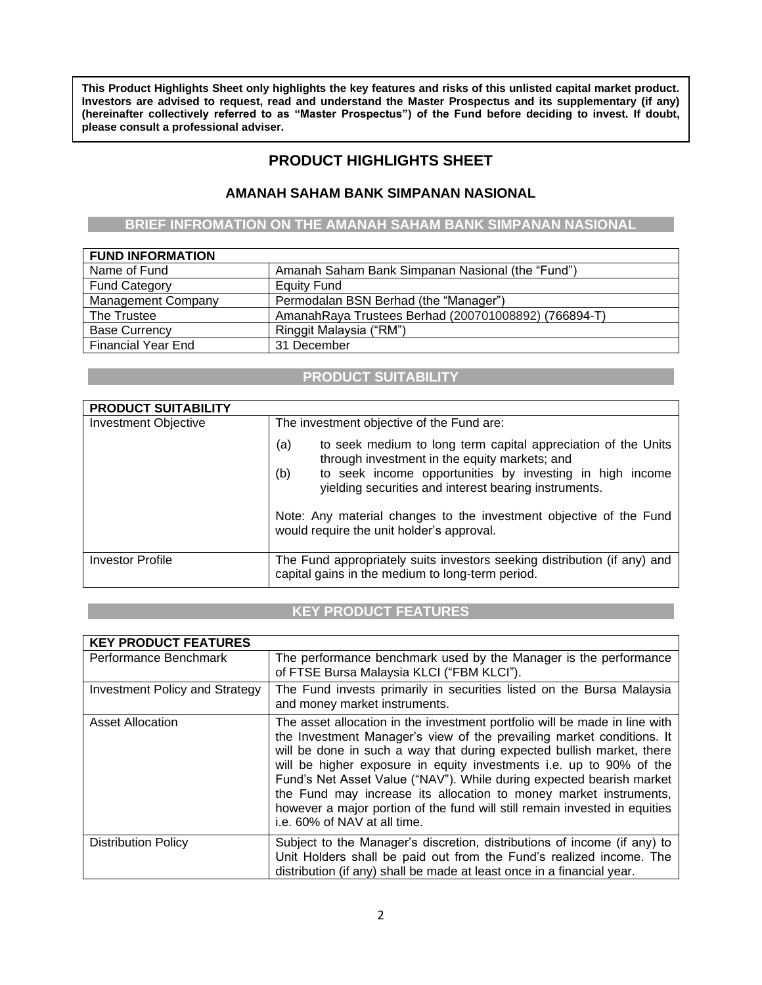**This Product Highlights Sheet only highlights the key features and risks of this unlisted capital market product. Investors are advised to request, read and understand the Master Prospectus and its supplementary (if any) (hereinafter collectively referred to as "Master Prospectus") of the Fund before deciding to invest. If doubt, please consult a professional adviser.**

# **PRODUCT HIGHLIGHTS SHEET**

# **AMANAH SAHAM BANK SIMPANAN NASIONAL**

**BRIEF INFROMATION ON THE AMANAH SAHAM BANK SIMPANAN NASIONAL**

| <b>FUND INFORMATION</b>   |                                                      |
|---------------------------|------------------------------------------------------|
| Name of Fund              | Amanah Saham Bank Simpanan Nasional (the "Fund")     |
| <b>Fund Category</b>      | Equity Fund                                          |
| <b>Management Company</b> | Permodalan BSN Berhad (the "Manager")                |
| The Trustee               | AmanahRaya Trustees Berhad (200701008892) (766894-T) |
| <b>Base Currency</b>      | Ringgit Malaysia ("RM")                              |
| <b>Financial Year End</b> | 31 December                                          |

### **PRODUCT SUITABILITY**

| <b>PRODUCT SUITABILITY</b>  |                                                                                                                                                                                                                                                   |  |  |  |  |  |
|-----------------------------|---------------------------------------------------------------------------------------------------------------------------------------------------------------------------------------------------------------------------------------------------|--|--|--|--|--|
| <b>Investment Objective</b> | The investment objective of the Fund are:                                                                                                                                                                                                         |  |  |  |  |  |
|                             | to seek medium to long term capital appreciation of the Units<br>(a)<br>through investment in the equity markets; and<br>to seek income opportunities by investing in high income<br>(b)<br>yielding securities and interest bearing instruments. |  |  |  |  |  |
|                             | Note: Any material changes to the investment objective of the Fund<br>would require the unit holder's approval.                                                                                                                                   |  |  |  |  |  |
| <b>Investor Profile</b>     | The Fund appropriately suits investors seeking distribution (if any) and<br>capital gains in the medium to long-term period.                                                                                                                      |  |  |  |  |  |

# **KEY PRODUCT FEATURES**

| <b>KEY PRODUCT FEATURES</b>    |                                                                                                                                                                                                                                                                                                                                                                                                                                                                                                                                                                |
|--------------------------------|----------------------------------------------------------------------------------------------------------------------------------------------------------------------------------------------------------------------------------------------------------------------------------------------------------------------------------------------------------------------------------------------------------------------------------------------------------------------------------------------------------------------------------------------------------------|
| Performance Benchmark          | The performance benchmark used by the Manager is the performance<br>of FTSE Bursa Malaysia KLCI ("FBM KLCI").                                                                                                                                                                                                                                                                                                                                                                                                                                                  |
| Investment Policy and Strategy | The Fund invests primarily in securities listed on the Bursa Malaysia<br>and money market instruments.                                                                                                                                                                                                                                                                                                                                                                                                                                                         |
| <b>Asset Allocation</b>        | The asset allocation in the investment portfolio will be made in line with<br>the Investment Manager's view of the prevailing market conditions. It<br>will be done in such a way that during expected bullish market, there<br>will be higher exposure in equity investments i.e. up to 90% of the<br>Fund's Net Asset Value ("NAV"). While during expected bearish market<br>the Fund may increase its allocation to money market instruments,<br>however a major portion of the fund will still remain invested in equities<br>i.e. 60% of NAV at all time. |
| <b>Distribution Policy</b>     | Subject to the Manager's discretion, distributions of income (if any) to<br>Unit Holders shall be paid out from the Fund's realized income. The<br>distribution (if any) shall be made at least once in a financial year.                                                                                                                                                                                                                                                                                                                                      |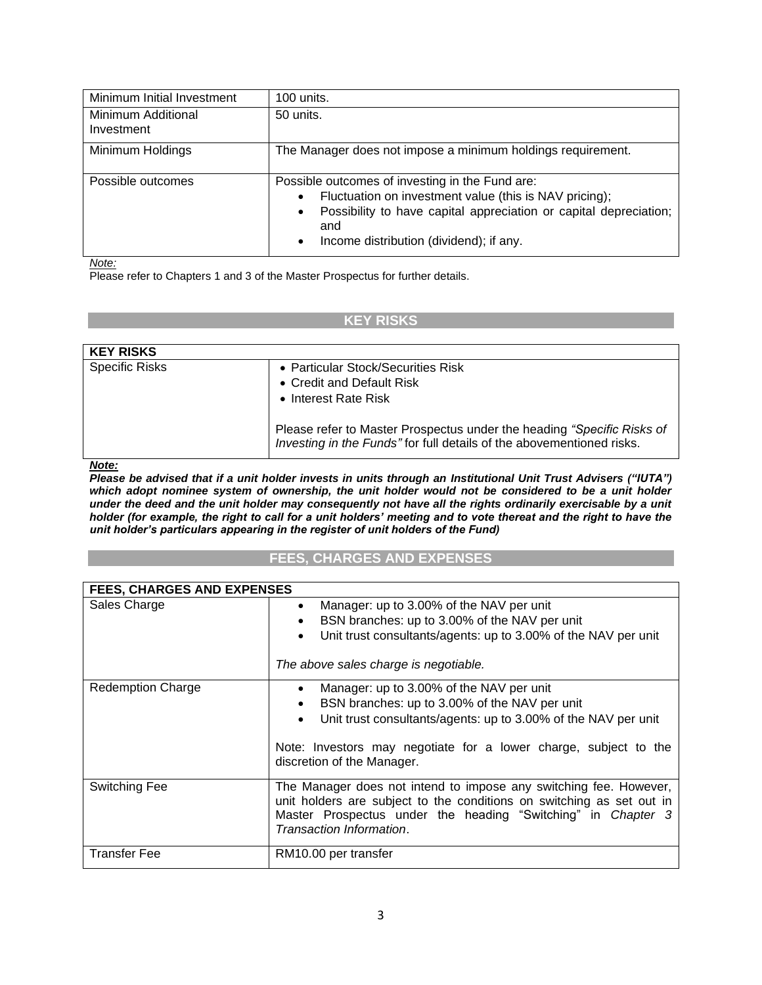| Minimum Initial Investment       | 100 units.                                                                                                                                                                                                                                                              |
|----------------------------------|-------------------------------------------------------------------------------------------------------------------------------------------------------------------------------------------------------------------------------------------------------------------------|
| Minimum Additional<br>Investment | 50 units.                                                                                                                                                                                                                                                               |
| Minimum Holdings                 | The Manager does not impose a minimum holdings requirement.                                                                                                                                                                                                             |
| Possible outcomes                | Possible outcomes of investing in the Fund are:<br>Fluctuation on investment value (this is NAV pricing);<br>$\bullet$<br>Possibility to have capital appreciation or capital depreciation;<br>$\bullet$<br>and<br>Income distribution (dividend); if any.<br>$\bullet$ |

*Note:*

Please refer to Chapters 1 and 3 of the Master Prospectus for further details.

### **KEY RISKS**

| <b>KEY RISKS</b>      |                                                                                                                                                                                                                                            |
|-----------------------|--------------------------------------------------------------------------------------------------------------------------------------------------------------------------------------------------------------------------------------------|
| <b>Specific Risks</b> | • Particular Stock/Securities Risk<br>• Credit and Default Risk<br>• Interest Rate Risk<br>Please refer to Master Prospectus under the heading "Specific Risks of<br>Investing in the Funds" for full details of the abovementioned risks. |
|                       |                                                                                                                                                                                                                                            |

*Note:*

*Please be advised that if a unit holder invests in units through an Institutional Unit Trust Advisers ("IUTA") which adopt nominee system of ownership, the unit holder would not be considered to be a unit holder under the deed and the unit holder may consequently not have all the rights ordinarily exercisable by a unit holder (for example, the right to call for a unit holders' meeting and to vote thereat and the right to have the unit holder's particulars appearing in the register of unit holders of the Fund)*

### **FEES, CHARGES AND EXPENSES**

| <b>FEES, CHARGES AND EXPENSES</b> |                                                                                                                                                                                                                                                                                                      |
|-----------------------------------|------------------------------------------------------------------------------------------------------------------------------------------------------------------------------------------------------------------------------------------------------------------------------------------------------|
| Sales Charge                      | Manager: up to 3.00% of the NAV per unit<br>$\bullet$<br>BSN branches: up to 3.00% of the NAV per unit<br>$\bullet$<br>Unit trust consultants/agents: up to 3.00% of the NAV per unit<br>$\bullet$<br>The above sales charge is negotiable.                                                          |
| <b>Redemption Charge</b>          | Manager: up to 3.00% of the NAV per unit<br>$\bullet$<br>BSN branches: up to 3.00% of the NAV per unit<br>$\bullet$<br>Unit trust consultants/agents: up to 3.00% of the NAV per unit<br>$\bullet$<br>Note: Investors may negotiate for a lower charge, subject to the<br>discretion of the Manager. |
| Switching Fee                     | The Manager does not intend to impose any switching fee. However,<br>unit holders are subject to the conditions on switching as set out in<br>Master Prospectus under the heading "Switching" in Chapter 3<br>Transaction Information.                                                               |
| <b>Transfer Fee</b>               | RM10.00 per transfer                                                                                                                                                                                                                                                                                 |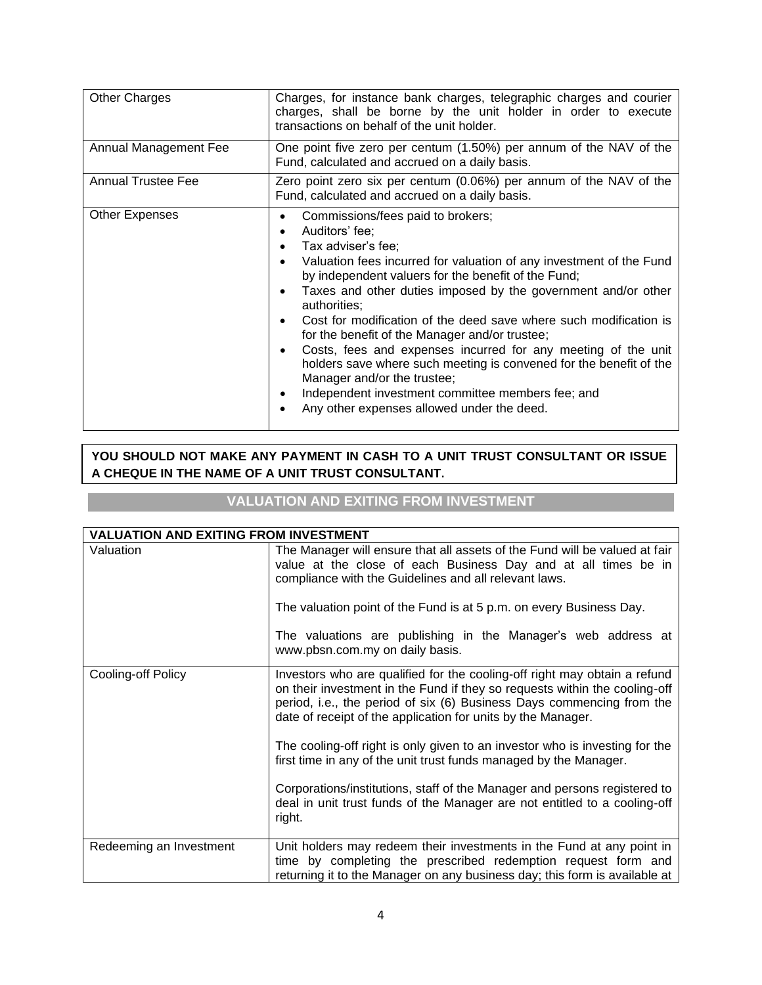| <b>Other Charges</b>         | Charges, for instance bank charges, telegraphic charges and courier<br>charges, shall be borne by the unit holder in order to execute<br>transactions on behalf of the unit holder.                                                                                                                                                                                                                                                                                                                                                                                                                                                                                                      |  |  |  |  |  |  |  |  |  |  |
|------------------------------|------------------------------------------------------------------------------------------------------------------------------------------------------------------------------------------------------------------------------------------------------------------------------------------------------------------------------------------------------------------------------------------------------------------------------------------------------------------------------------------------------------------------------------------------------------------------------------------------------------------------------------------------------------------------------------------|--|--|--|--|--|--|--|--|--|--|
| <b>Annual Management Fee</b> | One point five zero per centum (1.50%) per annum of the NAV of the<br>Fund, calculated and accrued on a daily basis.                                                                                                                                                                                                                                                                                                                                                                                                                                                                                                                                                                     |  |  |  |  |  |  |  |  |  |  |
| <b>Annual Trustee Fee</b>    | Zero point zero six per centum (0.06%) per annum of the NAV of the<br>Fund, calculated and accrued on a daily basis.                                                                                                                                                                                                                                                                                                                                                                                                                                                                                                                                                                     |  |  |  |  |  |  |  |  |  |  |
| <b>Other Expenses</b>        | Commissions/fees paid to brokers;<br>Auditors' fee;<br>Tax adviser's fee;<br>Valuation fees incurred for valuation of any investment of the Fund<br>by independent valuers for the benefit of the Fund;<br>Taxes and other duties imposed by the government and/or other<br>authorities:<br>Cost for modification of the deed save where such modification is<br>for the benefit of the Manager and/or trustee;<br>Costs, fees and expenses incurred for any meeting of the unit<br>holders save where such meeting is convened for the benefit of the<br>Manager and/or the trustee;<br>Independent investment committee members fee; and<br>Any other expenses allowed under the deed. |  |  |  |  |  |  |  |  |  |  |

# **YOU SHOULD NOT MAKE ANY PAYMENT IN CASH TO A UNIT TRUST CONSULTANT OR ISSUE A CHEQUE IN THE NAME OF A UNIT TRUST CONSULTANT.**

# **VALUATION AND EXITING FROM INVESTMENT**

| <b>VALUATION AND EXITING FROM INVESTMENT</b> |                                                                                                                                                                                                                                                                                                                                                                                  |
|----------------------------------------------|----------------------------------------------------------------------------------------------------------------------------------------------------------------------------------------------------------------------------------------------------------------------------------------------------------------------------------------------------------------------------------|
| Valuation                                    | The Manager will ensure that all assets of the Fund will be valued at fair<br>value at the close of each Business Day and at all times be in<br>compliance with the Guidelines and all relevant laws.<br>The valuation point of the Fund is at 5 p.m. on every Business Day.<br>The valuations are publishing in the Manager's web address at<br>www.pbsn.com.my on daily basis. |
| Cooling-off Policy                           | Investors who are qualified for the cooling-off right may obtain a refund<br>on their investment in the Fund if they so requests within the cooling-off<br>period, i.e., the period of six (6) Business Days commencing from the<br>date of receipt of the application for units by the Manager.                                                                                 |
|                                              | The cooling-off right is only given to an investor who is investing for the<br>first time in any of the unit trust funds managed by the Manager.<br>Corporations/institutions, staff of the Manager and persons registered to                                                                                                                                                    |
|                                              | deal in unit trust funds of the Manager are not entitled to a cooling-off<br>right.                                                                                                                                                                                                                                                                                              |
| Redeeming an Investment                      | Unit holders may redeem their investments in the Fund at any point in<br>time by completing the prescribed redemption request form and<br>returning it to the Manager on any business day; this form is available at                                                                                                                                                             |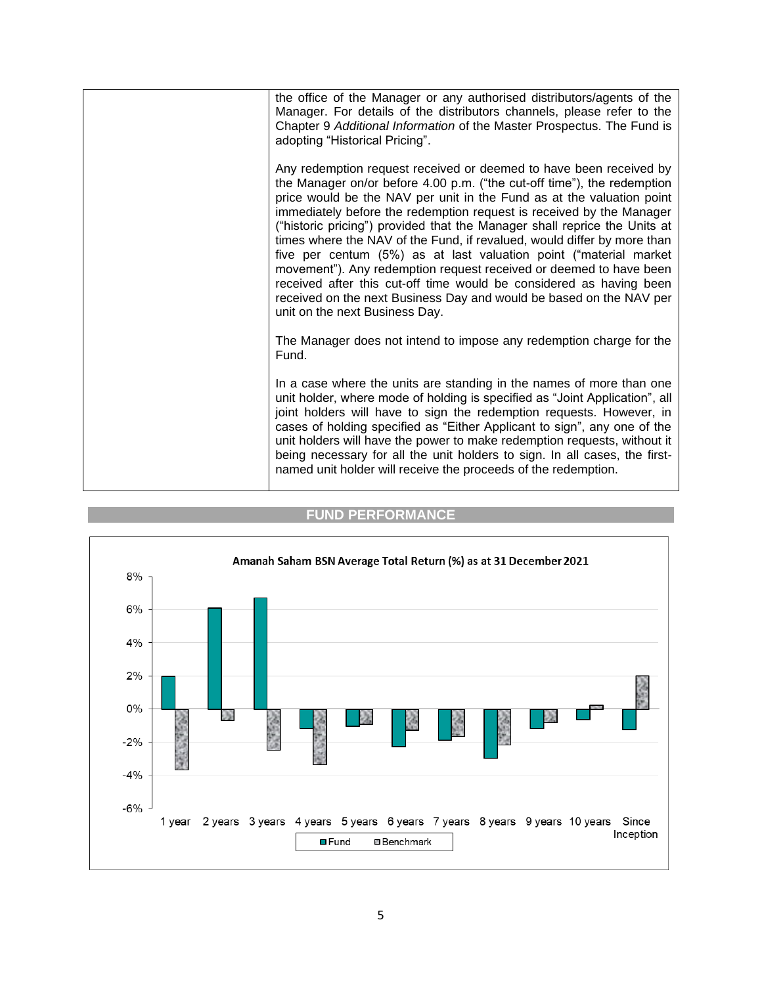

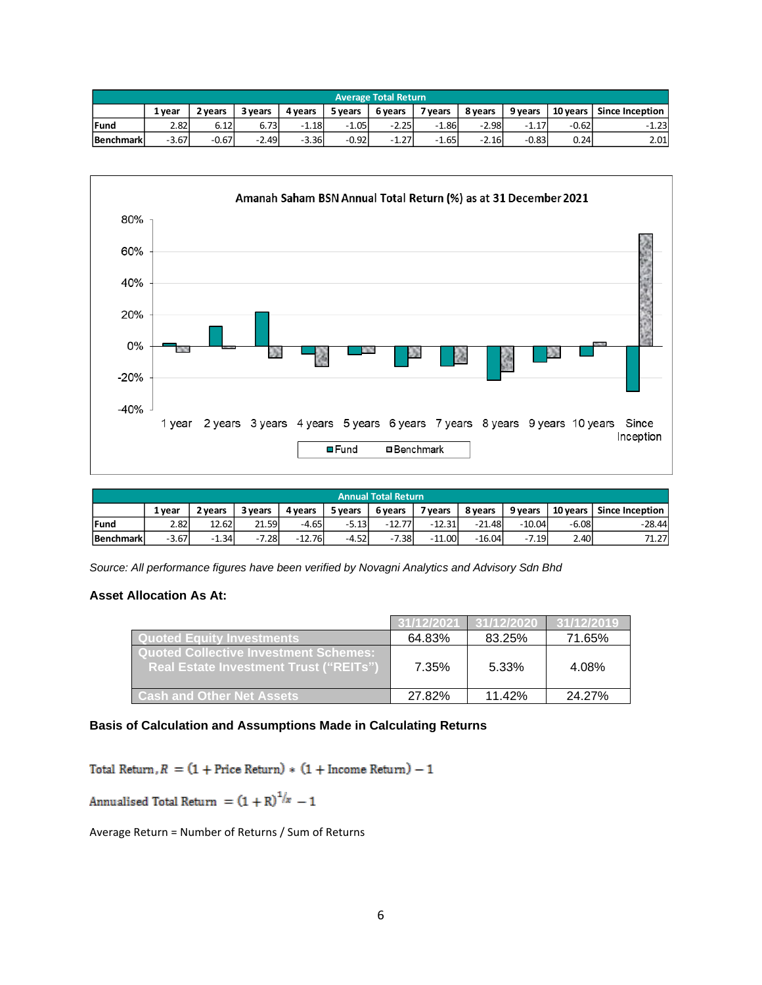| Average Total Return |         |         |         |         |         |         |         |         |         |          |                        |
|----------------------|---------|---------|---------|---------|---------|---------|---------|---------|---------|----------|------------------------|
|                      | 1 vear  | 2 vears | 3 years | 4 years | 5 years | 6 years | 7 years | 8 years | 9 years | 10 years | <b>Since Inception</b> |
| Fund                 | 2.82l   | 6.12    | 6.73    | $-1.18$ | $-1.05$ | $-2.25$ | $-1.86$ | $-2.98$ | $-1.17$ | $-0.62$  | $-1.23$                |
| <b>Benchmark</b>     | $-3.67$ | $-0.67$ | $-2.49$ | $-3.36$ | $-0.92$ | $-1.27$ | $-1.65$ | $-2.16$ | $-0.83$ | 0.24     | 2.01                   |



| <b>Annual Total Return</b> |                                                                                                                              |         |       |          |         |          |          |          |         |         |          |
|----------------------------|------------------------------------------------------------------------------------------------------------------------------|---------|-------|----------|---------|----------|----------|----------|---------|---------|----------|
|                            | 9 vears<br>10 years   Since Inception<br>7 years<br>8 vears<br>6 years<br>5 years<br>3 years<br>4 vears<br>1 vear<br>2 vears |         |       |          |         |          |          |          |         |         |          |
| <b>lFund</b>               | 2.82l                                                                                                                        | 12.62   | 21.59 | $-4.65$  | $-5.13$ | $-12.77$ | $-12.31$ | $-21.48$ | -10.04  | $-6.08$ | $-28.44$ |
| <b>Benchmark</b>           | $-3.67$                                                                                                                      | $-1.34$ | 7.28  | $-12.76$ | $-4.52$ | $-7.38$  | $-11.00$ | $-16.04$ | $-7.19$ | 2.40    | 71.27    |

*Source: All performance figures have been verified by Novagni Analytics and Advisory Sdn Bhd*

### **Asset Allocation As At:**

|                                                                                               | 31/12/2021 | 31/12/2020 | 31/12/2019 |
|-----------------------------------------------------------------------------------------------|------------|------------|------------|
| <u>l Quoted Equity Investments </u>                                                           | 64.83%     | 83.25%     | 71.65%     |
| <b>Quoted Collective Investment Schemes:</b><br><b>Real Estate Investment Trust ("REITs")</b> | 7.35%      | 5.33%      | 4.08%      |
| <b>Cash and Other Net Assets</b>                                                              | 27.82%     | 11.42%     | 24.27%     |

### **Basis of Calculation and Assumptions Made in Calculating Returns**

Total Return,  $R = (1 + \text{Price Return}) * (1 + \text{ Income Return}) - 1$ 

Annualised Total Return =  $(1 + R)^{1/x} - 1$ 

Average Return = Number of Returns / Sum of Returns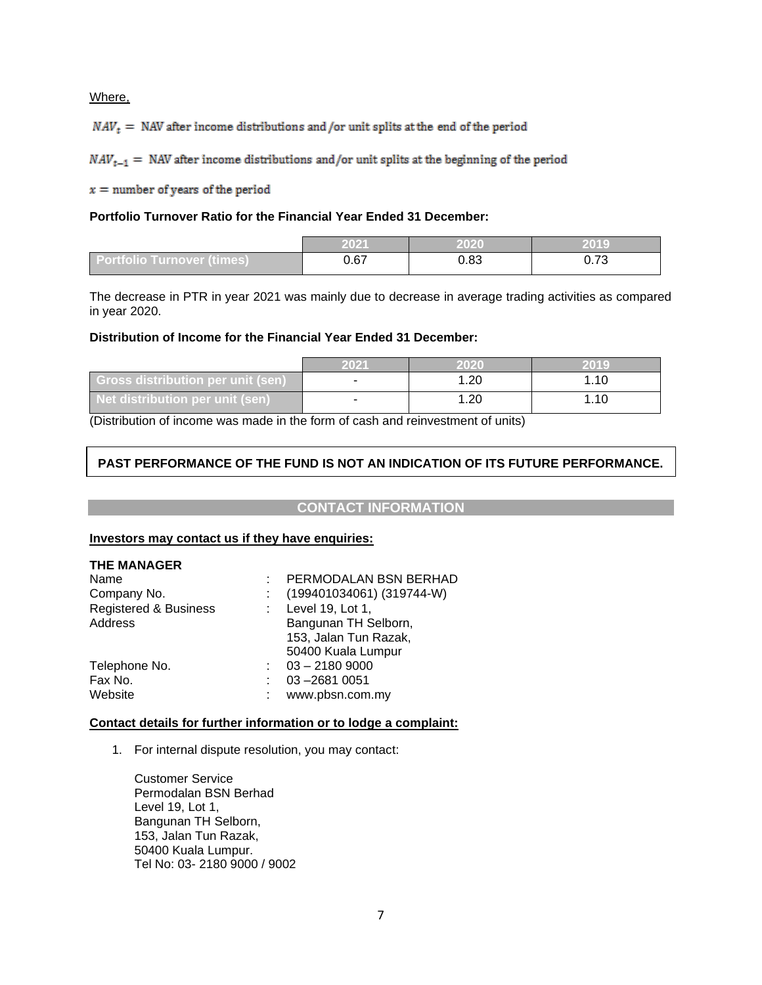Where,

 $NAV_t$  = NAV after income distributions and /or unit splits at the end of the period

 $NAV_{t-1}$  = NAV after income distributions and/or unit splits at the beginning of the period

 $x =$  number of years of the period

### **Portfolio Turnover Ratio for the Financial Year Ended 31 December:**

|                            | 2021                         | 2020 | 2019                              |
|----------------------------|------------------------------|------|-----------------------------------|
| Portfolio Turnover (times) | $\sim$ $\sim$ $\sim$<br>U.O7 | 0.83 | $\overline{\phantom{a}}$<br>∪.≀ ∪ |

The decrease in PTR in year 2021 was mainly due to decrease in average trading activities as compared in year 2020.

#### **Distribution of Income for the Financial Year Ended 31 December:**

|                                          | 2021                     | ດ2              | 2019 |
|------------------------------------------|--------------------------|-----------------|------|
| <b>Gross distribution per unit (sen)</b> | $\overline{\phantom{a}}$ | .20             | l.10 |
| Net distribution per unit (sen)          |                          | .2 <sub>C</sub> | ⊢.10 |

(Distribution of income was made in the form of cash and reinvestment of units)

# **PAST PERFORMANCE OF THE FUND IS NOT AN INDICATION OF ITS FUTURE PERFORMANCE.**

### **CONTACT INFORMATION**

#### **Investors may contact us if they have enquiries:**

| <b>THE MANAGER</b>                          |                                                                                         |
|---------------------------------------------|-----------------------------------------------------------------------------------------|
| Name<br>Company No.                         | PERMODALAN BSN BERHAD<br>(199401034061) (319744-W)                                      |
| <b>Registered &amp; Business</b><br>Address | Level 19, Lot 1,<br>Bangunan TH Selborn,<br>153, Jalan Tun Razak,<br>50400 Kuala Lumpur |
| Telephone No.<br>Fax No.<br>Website         | $03 - 21809000$<br>03-2681 0051<br>www.pbsn.com.my                                      |

### **Contact details for further information or to lodge a complaint:**

1. For internal dispute resolution, you may contact:

Customer Service Permodalan BSN Berhad Level 19, Lot 1, Bangunan TH Selborn, 153, Jalan Tun Razak, 50400 Kuala Lumpur. Tel No: 03- 2180 9000 / 9002